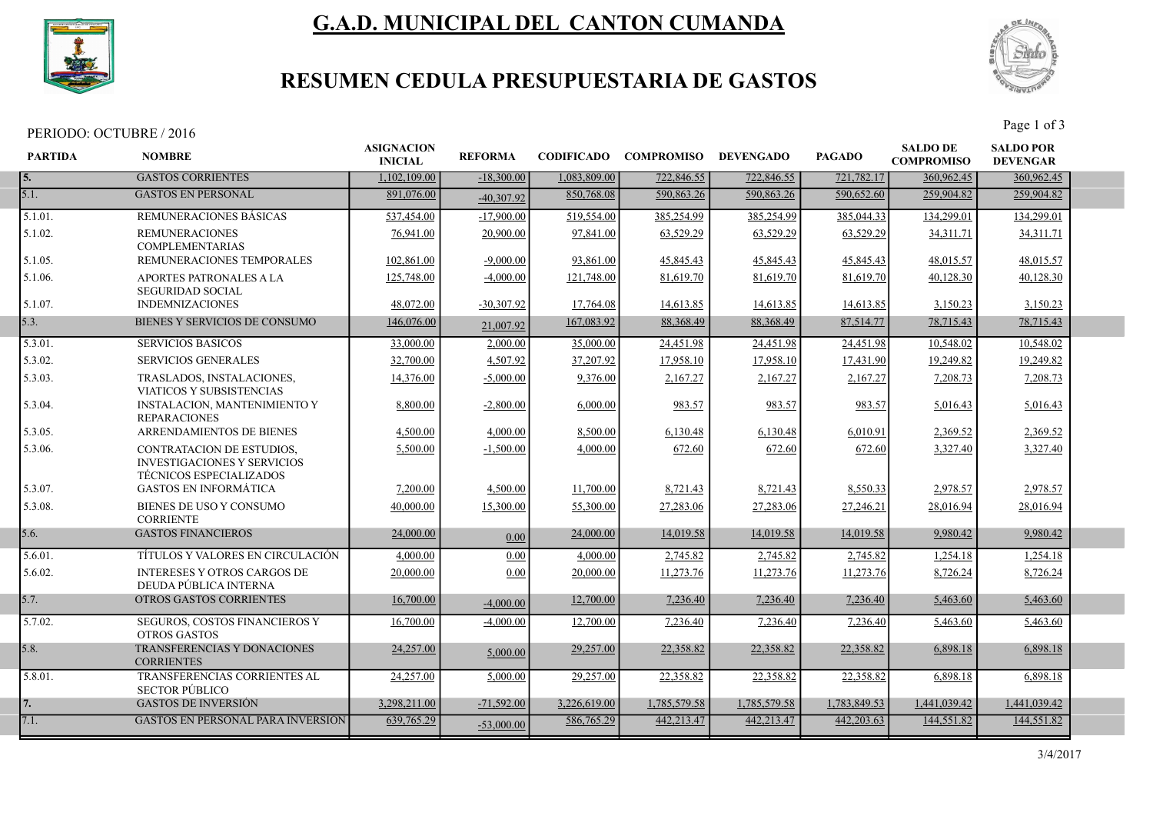

# G.A.D. MUNICIPAL DEL CANTON CUMANDA



## RESUMEN CEDULA PRESUPUESTARIA DE GASTOS

PERIODO: OCTUBRE / 2016 Page 1 of 3

| <b>PARTIDA</b> | <b>NOMBRE</b>                                                                                     | <b>ASIGNACION</b><br><b>INICIAL</b> | <b>REFORMA</b> | <b>CODIFICADO</b> | <b>COMPROMISO</b> | <b>DEVENGADO</b> | <b>PAGADO</b> | <b>SALDO DE</b><br><b>COMPROMISO</b> | <b>SALDO POR</b><br><b>DEVENGAR</b> |  |
|----------------|---------------------------------------------------------------------------------------------------|-------------------------------------|----------------|-------------------|-------------------|------------------|---------------|--------------------------------------|-------------------------------------|--|
| 5.             | <b>GASTOS CORRIENTES</b>                                                                          | 1,102,109.00                        | $-18,300,00$   | 1,083,809.00      | 722,846.55        | 722,846.55       | 721,782.17    | 360,962.45                           | 360,962.45                          |  |
| 5.1.           | <b>GASTOS EN PERSONAL</b>                                                                         | 891,076.00                          | $-40,307.92$   | 850,768.08        | 590,863.26        | 590,863.26       | 590,652.60    | 259,904.82                           | 259,904.82                          |  |
| 5.1.01.        | <b>REMUNERACIONES BASICAS</b>                                                                     | 537,454.00                          | $-17,900.00$   | 519,554.00        | 385,254.99        | 385,254.99       | 385,044.33    | 134,299.01                           | 134,299.01                          |  |
| 5.1.02.        | <b>REMUNERACIONES</b><br><b>COMPLEMENTARIAS</b>                                                   | 76,941.00                           | 20,900.00      | 97,841.00         | 63,529.29         | 63,529.29        | 63,529.29     | 34,311.71                            | 34,311.71                           |  |
| 5.1.05.        | REMUNERACIONES TEMPORALES                                                                         | 102,861.00                          | $-9,000.00$    | 93,861.00         | 45,845.43         | 45,845.43        | 45,845.43     | 48,015.57                            | 48,015.57                           |  |
| 5.1.06.        | APORTES PATRONALES A LA<br><b>SEGURIDAD SOCIAL</b>                                                | 125,748.00                          | $-4,000.00$    | 121,748.00        | 81,619.70         | 81,619.70        | 81,619.70     | 40,128.30                            | 40,128.30                           |  |
| 5.1.07.        | <b>INDEMNIZACIONES</b>                                                                            | 48,072.00                           | $-30,307.92$   | 17,764.08         | 14,613.85         | 14,613.85        | 14,613.85     | 3,150.23                             | 3,150.23                            |  |
| 5.3.           | BIENES Y SERVICIOS DE CONSUMO                                                                     | 146,076.00                          | 21,007.92      | 167,083.92        | 88,368.49         | 88, 368. 49      | 87,514.77     | 78,715.43                            | 78,715.43                           |  |
| 5.3.01.        | <b>SERVICIOS BASICOS</b>                                                                          | 33,000.00                           | 2,000.00       | 35,000.00         | 24,451.98         | 24,451.98        | 24,451.98     | 10.548.02                            | 10.548.02                           |  |
| 5.3.02.        | <b>SERVICIOS GENERALES</b>                                                                        | 32,700.00                           | 4,507.92       | 37.207.92         | 17,958.10         | 17,958.10        | 17,431.90     | 19,249.82                            | 19,249.82                           |  |
| 5.3.03.        | TRASLADOS, INSTALACIONES,<br>VIATICOS Y SUBSISTENCIAS                                             | 14,376.00                           | $-5,000.00$    | 9,376.00          | 2,167.27          | 2,167.27         | 2,167.27      | 7,208.73                             | 7,208.73                            |  |
| 5.3.04.        | <b>INSTALACION, MANTENIMIENTO Y</b><br><b>REPARACIONES</b>                                        | 8,800.00                            | $-2,800.00$    | 6,000.00          | 983.57            | 983.57           | 983.57        | 5,016.43                             | 5,016.43                            |  |
| 5.3.05.        | ARRENDAMIENTOS DE BIENES                                                                          | 4,500.00                            | 4,000.00       | 8,500.00          | 6,130.48          | 6,130.48         | 6.010.91      | 2.369.52                             | 2,369.52                            |  |
| 5.3.06.        | CONTRATACION DE ESTUDIOS.<br><b>INVESTIGACIONES Y SERVICIOS</b><br><b>TÉCNICOS ESPECIALIZADOS</b> | 5,500.00                            | $-1,500.00$    | 4,000.00          | 672.60            | 672.60           | 672.60        | 3,327.40                             | 3,327.40                            |  |
| 5.3.07.        | <b>GASTOS EN INFORMÁTICA</b>                                                                      | 7,200.00                            | 4,500.00       | 11,700.00         | 8,721.43          | 8,721.43         | 8,550.33      | 2,978.57                             | 2,978.57                            |  |
| 5.3.08.        | BIENES DE USO Y CONSUMO<br><b>CORRIENTE</b>                                                       | 40,000.00                           | 15,300.00      | 55,300.00         | 27,283.06         | 27,283.06        | 27,246.21     | 28,016.94                            | 28,016.94                           |  |
| 5.6.           | <b>GASTOS FINANCIEROS</b>                                                                         | 24,000.00                           | 0.00           | 24,000.00         | 14,019.58         | 14,019.58        | 14,019.58     | 9,980.42                             | 9,980.42                            |  |
| 5.6.01.        | TÍTULOS Y VALORES EN CIRCULACIÓN                                                                  | 4,000.00                            | 0.00           | 4,000.00          | 2,745.82          | 2,745.82         | 2,745.82      | 1,254.18                             | 1,254.18                            |  |
| 5.6.02.        | <b>INTERESES Y OTROS CARGOS DE</b><br>DEUDA PÚBLICA INTERNA                                       | 20,000.00                           | 0.00           | 20,000.00         | 11,273.76         | 11,273.76        | 11,273.76     | 8,726.24                             | 8,726.24                            |  |
| 5.7.           | <b>OTROS GASTOS CORRIENTES</b>                                                                    | 16,700.00                           | $-4,000.00$    | 12,700.00         | 7,236.40          | 7,236.40         | 7,236.40      | 5,463.60                             | 5,463.60                            |  |
| 5.7.02.        | SEGUROS, COSTOS FINANCIEROS Y<br><b>OTROS GASTOS</b>                                              | 16,700.00                           | $-4,000.00$    | 12,700.00         | 7,236.40          | 7,236.40         | 7,236.40      | 5,463.60                             | 5,463.60                            |  |
| 5.8.           | TRANSFERENCIAS Y DONACIONES<br><b>CORRIENTES</b>                                                  | 24,257.00                           | 5,000.00       | 29,257.00         | 22,358.82         | 22.358.82        | 22,358.82     | 6,898.18                             | 6,898.18                            |  |
| 5.8.01.        | TRANSFERENCIAS CORRIENTES AL<br><b>SECTOR PÚBLICO</b>                                             | 24,257.00                           | 5,000.00       | 29,257.00         | 22,358.82         | 22,358.82        | 22,358.82     | 6,898.18                             | 6,898.18                            |  |
| 7.             | <b>GASTOS DE INVERSIÓN</b>                                                                        | 3.298.211.00                        | $-71,592.00$   | 3.226.619.00      | 1.785.579.58      | 1.785,579.58     | 1.783.849.53  | 1.441.039.42                         | 1,441,039.42                        |  |
| 7.1.           | <b>GASTOS EN PERSONAL PARA INVERSIÓN</b>                                                          | 639,765.29                          | $-53,000.00$   | 586,765.29        | 442,213.47        | 442,213.47       | 442, 203. 63  | 144,551.82                           | 144,551.82                          |  |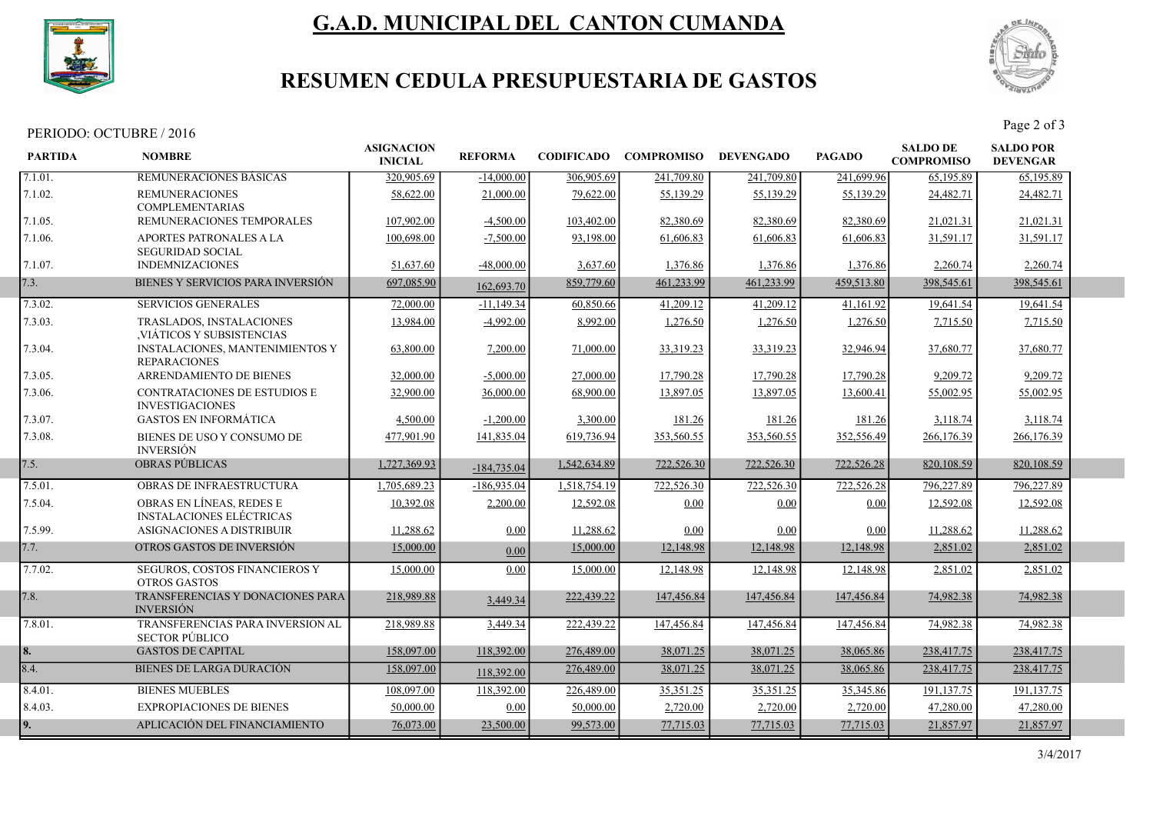

# G.A.D. MUNICIPAL DEL CANTON CUMANDA



## RESUMEN CEDULA PRESUPUESTARIA DE GASTOS

PERIODO: OCTUBRE / 2016<br>Page 2 of 3

| <b>PARTIDA</b> | <b>NOMBRE</b>                                                 | <b>ASIGNACION</b><br><b>INICIAL</b> | <b>REFORMA</b> |              | <b>CODIFICADO COMPROMISO</b> | <b>DEVENGADO</b> | <b>PAGADO</b> | <b>SALDO DE</b><br><b>COMPROMISO</b> | <b>SALDO POR</b><br><b>DEVENGAR</b> |  |
|----------------|---------------------------------------------------------------|-------------------------------------|----------------|--------------|------------------------------|------------------|---------------|--------------------------------------|-------------------------------------|--|
| 7.1.01.        | REMUNERACIONES BASICAS                                        | 320,905.69                          | $-14,000.00$   | 306,905.69   | 241,709.80                   | 241,709.80       | 241,699.96    | 65,195.89                            | 65,195.89                           |  |
| 7.1.02.        | <b>REMUNERACIONES</b><br><b>COMPLEMENTARIAS</b>               | 58,622.00                           | 21,000.00      | 79,622.00    | 55,139.29                    | 55,139.29        | 55,139.29     | 24,482.71                            | 24,482.71                           |  |
| 7.1.05.        | REMUNERACIONES TEMPORALES                                     | 107,902.00                          | $-4,500.00$    | 103,402.00   | 82,380.69                    | 82,380.69        | 82,380.69     | 21,021.31                            | 21,021.31                           |  |
| 7.1.06.        | APORTES PATRONALES A LA<br><b>SEGURIDAD SOCIAL</b>            | 100,698.00                          | $-7,500.00$    | 93,198.00    | 61,606.83                    | 61,606.83        | 61,606.83     | 31,591.17                            | 31,591.17                           |  |
| 7.1.07.        | <b>INDEMNIZACIONES</b>                                        | 51,637.60                           | $-48,000.00$   | 3,637.60     | 1,376.86                     | 1,376.86         | 1,376.86      | 2,260.74                             | 2,260.74                            |  |
| 7.3.           | BIENES Y SERVICIOS PARA INVERSIÓN                             | 697,085.90                          | 162,693.70     | 859,779.60   | 461,233.99                   | 461,233.99       | 459,513.80    | 398,545.61                           | 398,545.61                          |  |
| 7.3.02.        | <b>SERVICIOS GENERALES</b>                                    | 72,000.00                           | $-11,149.34$   | 60,850.66    | 41,209.12                    | 41,209.12        | 41,161.92     | 19,641.54                            | 19,641.54                           |  |
| 7.3.03.        | TRASLADOS, INSTALACIONES<br>,VIÁTICOS Y SUBSISTENCIAS         | 13,984.00                           | $-4,992.00$    | 8,992.00     | 1,276.50                     | 1,276.50         | 1,276.50      | 7,715.50                             | 7,715.50                            |  |
| 7.3.04.        | INSTALACIONES, MANTENIMIENTOS Y<br><b>REPARACIONES</b>        | 63,800.00                           | 7,200.00       | 71,000.00    | 33,319.23                    | 33,319.23        | 32,946.94     | 37,680.77                            | 37,680.77                           |  |
| 7.3.05.        | ARRENDAMIENTO DE BIENES                                       | 32,000.00                           | $-5,000.00$    | 27,000.00    | 17,790.28                    | 17,790.28        | 17,790.28     | 9,209.72                             | 9,209.72                            |  |
| 7.3.06.        | <b>CONTRATACIONES DE ESTUDIOS E</b><br><b>INVESTIGACIONES</b> | 32,900.00                           | 36,000.00      | 68,900.00    | 13,897.05                    | 13,897.05        | 13,600.41     | 55,002.95                            | 55,002.95                           |  |
| 7.3.07.        | <b>GASTOS EN INFORMÁTICA</b>                                  | 4,500.00                            | $-1,200.00$    | 3,300.00     | 181.26                       | 181.26           | 181.26        | 3,118.74                             | 3,118.74                            |  |
| 7.3.08.        | BIENES DE USO Y CONSUMO DE<br><b>INVERSIÓN</b>                | 477,901.90                          | 141,835.04     | 619,736.94   | 353,560.55                   | 353,560.55       | 352,556.49    | 266,176.39                           | 266,176.39                          |  |
| 7.5.           | <b>OBRAS PÚBLICAS</b>                                         | 1,727,369.93                        | $-184,735.04$  | 1,542,634.89 | 722,526.30                   | 722,526.30       | 722,526.28    | 820, 108.59                          | 820, 108.59                         |  |
| 7.5.01.        | OBRAS DE INFRAESTRUCTURA                                      | 1,705,689.23                        | $-186,935.04$  | 1,518,754.19 | 722,526.30                   | 722,526.30       | 722,526.28    | 796,227.89                           | 796,227.89                          |  |
| 7.5.04.        | OBRAS EN LÍNEAS, REDES E<br><b>INSTALACIONES ELÉCTRICAS</b>   | 10.392.08                           | 2,200.00       | 12,592.08    | 0.00                         | 0.00             | 0.00          | 12,592.08                            | 12,592.08                           |  |
| 7.5.99.        | ASIGNACIONES A DISTRIBUIR                                     | 11,288.62                           | 0.00           | 11,288.62    | 0.00                         | 0.00             | 0.00          | 11,288.62                            | 11,288.62                           |  |
| 7.7.           | OTROS GASTOS DE INVERSIÓN                                     | 15,000.00                           | 0.00           | 15,000.00    | 12,148.98                    | 12,148.98        | 12,148.98     | 2,851.02                             | 2,851.02                            |  |
| 7.7.02.        | SEGUROS, COSTOS FINANCIEROS Y<br><b>OTROS GASTOS</b>          | 15,000.00                           | 0.00           | 15,000.00    | 12,148.98                    | 12,148.98        | 12,148.98     | 2,851.02                             | 2,851.02                            |  |
| 7.8.           | TRANSFERENCIAS Y DONACIONES PARA<br><b>INVERSIÓN</b>          | 218,989.88                          | 3,449.34       | 222,439.22   | 147,456.84                   | 147,456.84       | 147,456.84    | 74,982.38                            | 74,982.38                           |  |
| 7.8.01.        | TRANSFERENCIAS PARA INVERSION AL<br><b>SECTOR PÚBLICO</b>     | 218,989.88                          | 3,449.34       | 222,439.22   | 147,456.84                   | 147,456.84       | 147,456.84    | 74,982.38                            | 74,982.38                           |  |
| 8.             | <b>GASTOS DE CAPITAL</b>                                      | 158,097.00                          | 118,392.00     | 276,489.00   | 38,071.25                    | 38,071.25        | 38,065.86     | 238,417.75                           | 238,417.75                          |  |
| 8.4.           | <b>BIENES DE LARGA DURACIÓN</b>                               | 158,097.00                          | 118,392.00     | 276,489.00   | 38,071.25                    | 38,071.25        | 38,065.86     | 238,417.75                           | 238,417.75                          |  |
| 8.4.01.        | <b>BIENES MUEBLES</b>                                         | 108,097.00                          | 118,392.00     | 226,489.00   | 35,351.25                    | 35,351.25        | 35,345.86     | 191,137.75                           | 191,137.75                          |  |
| 8.4.03.        | <b>EXPROPIACIONES DE BIENES</b>                               | 50,000.00                           | 0.00           | 50,000.00    | 2,720.00                     | 2,720.00         | 2,720.00      | 47,280.00                            | 47,280.00                           |  |
| 9.             | APLICACIÓN DEL FINANCIAMIENTO                                 | 76,073.00                           | 23,500.00      | 99,573.00    | 77,715.03                    | 77,715.03        | 77,715.03     | 21,857.97                            | 21,857.97                           |  |